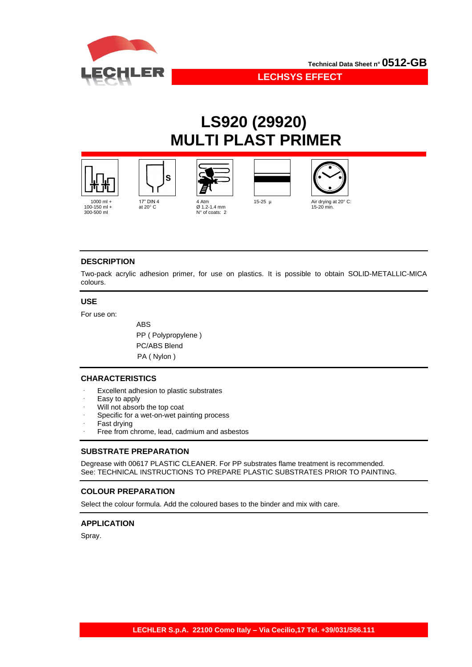

**LECHSYS EFFECT**

# **LS920 (29920) MULTI PLAST PRIMER**











## **DESCRIPTION**

Two-pack acrylic adhesion primer, for use on plastics. It is possible to obtain SOLID-METALLIC-MICA colours.

#### **USE**

For use on:

 ABS PP ( Polypropylene ) PC/ABS Blend PA ( Nylon )

### **CHARACTERISTICS**

- Excellent adhesion to plastic substrates
- Easy to apply
- Will not absorb the top coat
- Specific for a wet-on-wet painting process
- Fast drying
- Free from chrome, lead, cadmium and asbestos

#### **SUBSTRATE PREPARATION**

Degrease with 00617 PLASTIC CLEANER. For PP substrates flame treatment is recommended. See: TECHNICAL INSTRUCTIONS TO PREPARE PLASTIC SUBSTRATES PRIOR TO PAINTING.

#### **COLOUR PREPARATION**

Select the colour formula. Add the coloured bases to the binder and mix with care.

### **APPLICATION**

Spray.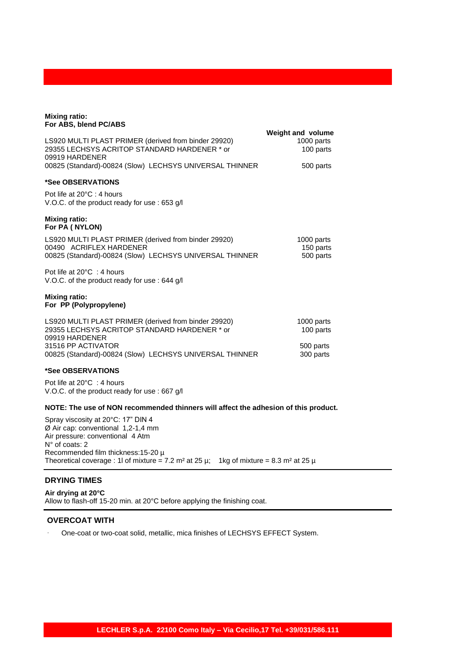| <b>Mixing ratio:</b><br>For ABS, blend PC/ABS                                                                                              |                                                     |
|--------------------------------------------------------------------------------------------------------------------------------------------|-----------------------------------------------------|
| LS920 MULTI PLAST PRIMER (derived from binder 29920)<br>29355 LECHSYS ACRITOP STANDARD HARDENER * or<br>09919 HARDENER                     | <b>Weight and volume</b><br>1000 parts<br>100 parts |
| 00825 (Standard)-00824 (Slow) LECHSYS UNIVERSAL THINNER                                                                                    | 500 parts                                           |
| *See OBSERVATIONS                                                                                                                          |                                                     |
| Pot life at 20°C : 4 hours<br>V.O.C. of the product ready for use: 653 g/l                                                                 |                                                     |
| <b>Mixing ratio:</b><br>For PA (NYLON)                                                                                                     |                                                     |
| LS920 MULTI PLAST PRIMER (derived from binder 29920)<br>00490 ACRIFLEX HARDENER<br>00825 (Standard)-00824 (Slow) LECHSYS UNIVERSAL THINNER | 1000 parts<br>150 parts<br>500 parts                |
| Pot life at $20^{\circ}$ C : 4 hours<br>V.O.C. of the product ready for use: 644 g/l                                                       |                                                     |
| <b>Mixing ratio:</b><br>For PP (Polypropylene)                                                                                             |                                                     |
| LS920 MULTI PLAST PRIMER (derived from binder 29920)<br>29355 LECHSYS ACRITOP STANDARD HARDENER * or<br>09919 HARDENER                     | 1000 parts<br>100 parts                             |
| 31516 PP ACTIVATOR<br>00825 (Standard)-00824 (Slow) LECHSYS UNIVERSAL THINNER                                                              | 500 parts<br>300 parts                              |
| *See OBSERVATIONS                                                                                                                          |                                                     |
| Pot life at $20^{\circ}$ C: 4 hours                                                                                                        |                                                     |

V.O.C. of the product ready for use : 667 g/l

#### **NOTE: The use of NON recommended thinners will affect the adhesion of this product.**

Spray viscosity at 20°C: 17" DIN 4 Ø Air cap: conventional 1,2-1,4 mm Air pressure: conventional 4 Atm N° of coats: 2 Recommended film thickness:15-20 µ Theoretical coverage : 1l of mixture = 7.2 m<sup>2</sup> at 25  $\mu$ ; 1kg of mixture = 8.3 m<sup>2</sup> at 25  $\mu$ 

# **DRYING TIMES**

**Air drying at 20°C** Allow to flash-off 15-20 min. at 20°C before applying the finishing coat.

### **OVERCOAT WITH**

One-coat or two-coat solid, metallic, mica finishes of LECHSYS EFFECT System.